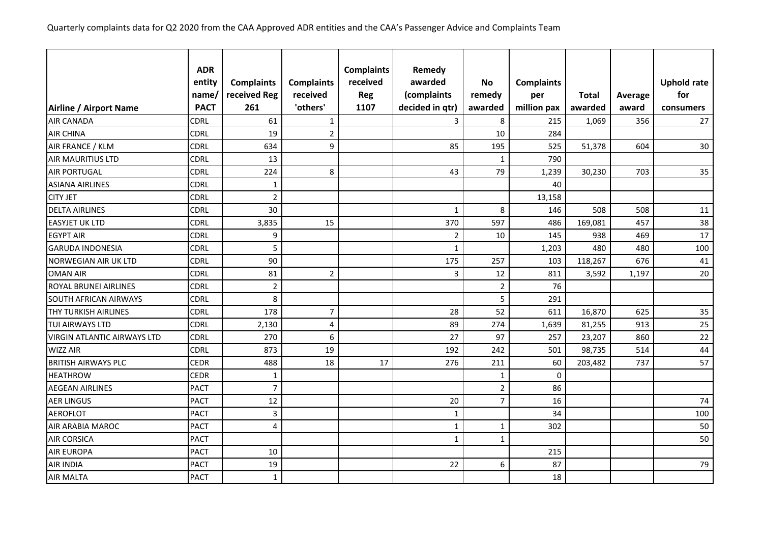|                                    | <b>ADR</b>  |                   |                   | <b>Complaints</b> | Remedy          |                |                   |              |         |                    |
|------------------------------------|-------------|-------------------|-------------------|-------------------|-----------------|----------------|-------------------|--------------|---------|--------------------|
|                                    | entity      | <b>Complaints</b> | <b>Complaints</b> | received          | awarded         | <b>No</b>      | <b>Complaints</b> |              |         | <b>Uphold rate</b> |
|                                    | name,       | received Reg      | received          | <b>Reg</b>        | (complaints     | remedy         | per               | <b>Total</b> | Average | for                |
| Airline / Airport Name             | <b>PACT</b> | 261               | 'others'          | 1107              | decided in qtr) | awarded        | million pax       | awarded      | award   | consumers          |
| <b>AIR CANADA</b>                  | <b>CDRL</b> | 61                | $1\,$             |                   | 3               | 8              | 215               | 1,069        | 356     | 27                 |
| <b>AIR CHINA</b>                   | <b>CDRL</b> | 19                | $\overline{2}$    |                   |                 | 10             | 284               |              |         |                    |
| AIR FRANCE / KLM                   | <b>CDRL</b> | 634               | 9                 |                   | 85              | 195            | 525               | 51,378       | 604     | 30                 |
| <b>AIR MAURITIUS LTD</b>           | <b>CDRL</b> | 13                |                   |                   |                 | $\mathbf 1$    | 790               |              |         |                    |
| <b>AIR PORTUGAL</b>                | <b>CDRL</b> | 224               | 8                 |                   | 43              | 79             | 1,239             | 30,230       | 703     | 35                 |
| <b>ASIANA AIRLINES</b>             | <b>CDRL</b> | $\mathbf{1}$      |                   |                   |                 |                | 40                |              |         |                    |
| <b>CITY JET</b>                    | <b>CDRL</b> | $\mathbf 2$       |                   |                   |                 |                | 13,158            |              |         |                    |
| <b>DELTA AIRLINES</b>              | <b>CDRL</b> | 30                |                   |                   | $\mathbf{1}$    | 8              | 146               | 508          | 508     | 11                 |
| <b>EASYJET UK LTD</b>              | <b>CDRL</b> | 3,835             | 15                |                   | 370             | 597            | 486               | 169,081      | 457     | 38                 |
| <b>EGYPT AIR</b>                   | <b>CDRL</b> | 9                 |                   |                   | $\mathbf 2$     | 10             | 145               | 938          | 469     | 17                 |
| <b>GARUDA INDONESIA</b>            | CDRL        | 5                 |                   |                   | $\mathbf 1$     |                | 1,203             | 480          | 480     | 100                |
| <b>NORWEGIAN AIR UK LTD</b>        | <b>CDRL</b> | 90                |                   |                   | 175             | 257            | 103               | 118,267      | 676     | 41                 |
| <b>OMAN AIR</b>                    | <b>CDRL</b> | 81                | $\overline{2}$    |                   | 3               | 12             | 811               | 3,592        | 1,197   | 20                 |
| <b>ROYAL BRUNEI AIRLINES</b>       | <b>CDRL</b> | $\overline{2}$    |                   |                   |                 | $\overline{2}$ | 76                |              |         |                    |
| <b>SOUTH AFRICAN AIRWAYS</b>       | <b>CDRL</b> | 8                 |                   |                   |                 | 5              | 291               |              |         |                    |
| <b>THY TURKISH AIRLINES</b>        | <b>CDRL</b> | 178               | $\overline{7}$    |                   | 28              | 52             | 611               | 16,870       | 625     | 35                 |
| <b>TUI AIRWAYS LTD</b>             | <b>CDRL</b> | 2,130             | 4                 |                   | 89              | 274            | 1,639             | 81,255       | 913     | 25                 |
| <b>VIRGIN ATLANTIC AIRWAYS LTD</b> | <b>CDRL</b> | 270               | 6                 |                   | 27              | 97             | 257               | 23,207       | 860     | 22                 |
| <b>WIZZ AIR</b>                    | <b>CDRL</b> | 873               | 19                |                   | 192             | 242            | 501               | 98,735       | 514     | 44                 |
| <b>BRITISH AIRWAYS PLC</b>         | <b>CEDR</b> | 488               | 18                | 17                | 276             | 211            | 60                | 203,482      | 737     | 57                 |
| <b>HEATHROW</b>                    | <b>CEDR</b> | 1                 |                   |                   |                 | 1              | $\mathbf 0$       |              |         |                    |
| <b>AEGEAN AIRLINES</b>             | <b>PACT</b> | $\overline{7}$    |                   |                   |                 | $\overline{2}$ | 86                |              |         |                    |
| <b>AER LINGUS</b>                  | <b>PACT</b> | 12                |                   |                   | 20              | $\overline{7}$ | 16                |              |         | 74                 |
| <b>AEROFLOT</b>                    | <b>PACT</b> | 3                 |                   |                   | 1               |                | 34                |              |         | 100                |
| <b>AIR ARABIA MAROC</b>            | <b>PACT</b> | $\overline{4}$    |                   |                   | $\mathbf 1$     | $\mathbf{1}$   | 302               |              |         | 50                 |
| <b>AIR CORSICA</b>                 | <b>PACT</b> |                   |                   |                   | $\mathbf{1}$    | $\mathbf{1}$   |                   |              |         | 50                 |
| <b>AIR EUROPA</b>                  | <b>PACT</b> | 10                |                   |                   |                 |                | 215               |              |         |                    |
| <b>AIR INDIA</b>                   | <b>PACT</b> | 19                |                   |                   | 22              | 6              | 87                |              |         | 79                 |
| <b>AIR MALTA</b>                   | <b>PACT</b> | $\mathbf{1}$      |                   |                   |                 |                | 18                |              |         |                    |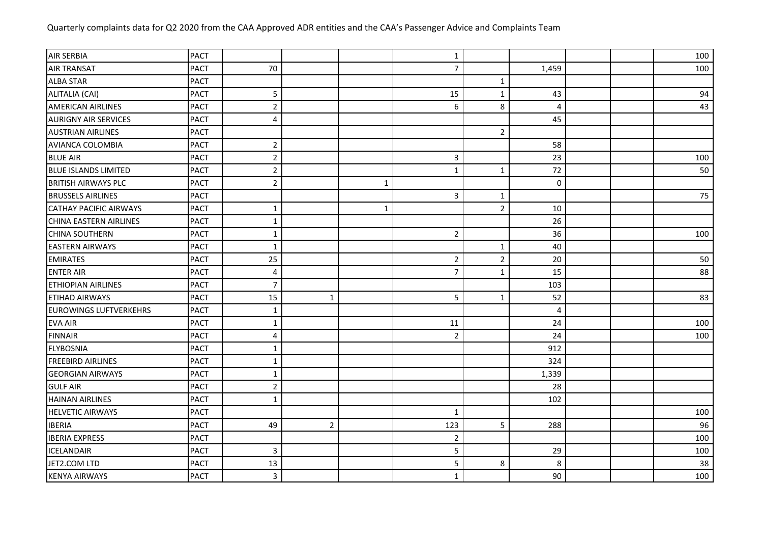| <b>AIR SERBIA</b>             | <b>PACT</b> |                         |                |              | $\mathbf 1$    |                |       |  | 100 |
|-------------------------------|-------------|-------------------------|----------------|--------------|----------------|----------------|-------|--|-----|
| <b>AIR TRANSAT</b>            | <b>PACT</b> | 70                      |                |              | $\overline{7}$ |                | 1,459 |  | 100 |
| <b>ALBA STAR</b>              | <b>PACT</b> |                         |                |              |                | 1              |       |  |     |
| ALITALIA (CAI)                | <b>PACT</b> | 5                       |                |              | 15             | $\mathbf{1}$   | 43    |  | 94  |
| <b>AMERICAN AIRLINES</b>      | <b>PACT</b> | $\mathbf 2$             |                |              | 6              | 8              | 4     |  | 43  |
| <b>AURIGNY AIR SERVICES</b>   | <b>PACT</b> | 4                       |                |              |                |                | 45    |  |     |
| <b>AUSTRIAN AIRLINES</b>      | <b>PACT</b> |                         |                |              |                | $\overline{2}$ |       |  |     |
| <b>AVIANCA COLOMBIA</b>       | <b>PACT</b> | $\overline{2}$          |                |              |                |                | 58    |  |     |
| <b>BLUE AIR</b>               | <b>PACT</b> | $\mathbf 2$             |                |              | $\mathsf{3}$   |                | 23    |  | 100 |
| <b>BLUE ISLANDS LIMITED</b>   | <b>PACT</b> | $\overline{2}$          |                |              | $\mathbf{1}$   | $\mathbf 1$    | 72    |  | 50  |
| <b>BRITISH AIRWAYS PLC</b>    | <b>PACT</b> | $\mathbf 2$             |                | $\mathbf{1}$ |                |                | 0     |  |     |
| <b>BRUSSELS AIRLINES</b>      | <b>PACT</b> |                         |                |              | 3              | $\mathbf 1$    |       |  | 75  |
| <b>CATHAY PACIFIC AIRWAYS</b> | <b>PACT</b> | $\mathbf 1$             |                | $\mathbf{1}$ |                | $\overline{2}$ | 10    |  |     |
| <b>CHINA EASTERN AIRLINES</b> | <b>PACT</b> | $\mathbf{1}$            |                |              |                |                | 26    |  |     |
| <b>CHINA SOUTHERN</b>         | <b>PACT</b> | $\mathbf{1}$            |                |              | $\overline{2}$ |                | 36    |  | 100 |
| <b>EASTERN AIRWAYS</b>        | <b>PACT</b> | $\mathbf{1}$            |                |              |                | $\mathbf{1}$   | 40    |  |     |
| <b>EMIRATES</b>               | <b>PACT</b> | 25                      |                |              | $\overline{2}$ | $\overline{2}$ | 20    |  | 50  |
| <b>ENTER AIR</b>              | <b>PACT</b> | 4                       |                |              | $\overline{7}$ | $\mathbf{1}$   | 15    |  | 88  |
| <b>ETHIOPIAN AIRLINES</b>     | <b>PACT</b> | $\overline{7}$          |                |              |                |                | 103   |  |     |
| <b>ETIHAD AIRWAYS</b>         | <b>PACT</b> | 15                      | $\mathbf{1}$   |              | 5              | $\mathbf{1}$   | 52    |  | 83  |
| <b>EUROWINGS LUFTVERKEHRS</b> | <b>PACT</b> | $\mathbf{1}$            |                |              |                |                | 4     |  |     |
| <b>EVA AIR</b>                | <b>PACT</b> | $\mathbf{1}$            |                |              | 11             |                | 24    |  | 100 |
| <b>FINNAIR</b>                | <b>PACT</b> | $\overline{4}$          |                |              | $\overline{2}$ |                | 24    |  | 100 |
| <b>FLYBOSNIA</b>              | <b>PACT</b> | $\mathbf{1}$            |                |              |                |                | 912   |  |     |
| <b>FREEBIRD AIRLINES</b>      | <b>PACT</b> | $\mathbf{1}$            |                |              |                |                | 324   |  |     |
| <b>GEORGIAN AIRWAYS</b>       | <b>PACT</b> | $\mathbf{1}$            |                |              |                |                | 1,339 |  |     |
| <b>GULF AIR</b>               | <b>PACT</b> | $\overline{2}$          |                |              |                |                | 28    |  |     |
| <b>HAINAN AIRLINES</b>        | <b>PACT</b> | $\mathbf{1}$            |                |              |                |                | 102   |  |     |
| <b>HELVETIC AIRWAYS</b>       | <b>PACT</b> |                         |                |              | $\mathbf{1}$   |                |       |  | 100 |
| <b>IBERIA</b>                 | <b>PACT</b> | 49                      | $\overline{2}$ |              | 123            | 5              | 288   |  | 96  |
| <b>IBERIA EXPRESS</b>         | <b>PACT</b> |                         |                |              | $\overline{2}$ |                |       |  | 100 |
| <b>ICELANDAIR</b>             | <b>PACT</b> | 3                       |                |              | 5              |                | 29    |  | 100 |
| JET2.COM LTD                  | <b>PACT</b> | 13                      |                |              | 5              | 8              | 8     |  | 38  |
| <b>KENYA AIRWAYS</b>          | <b>PACT</b> | $\overline{\mathbf{3}}$ |                |              | $\mathbf 1$    |                | 90    |  | 100 |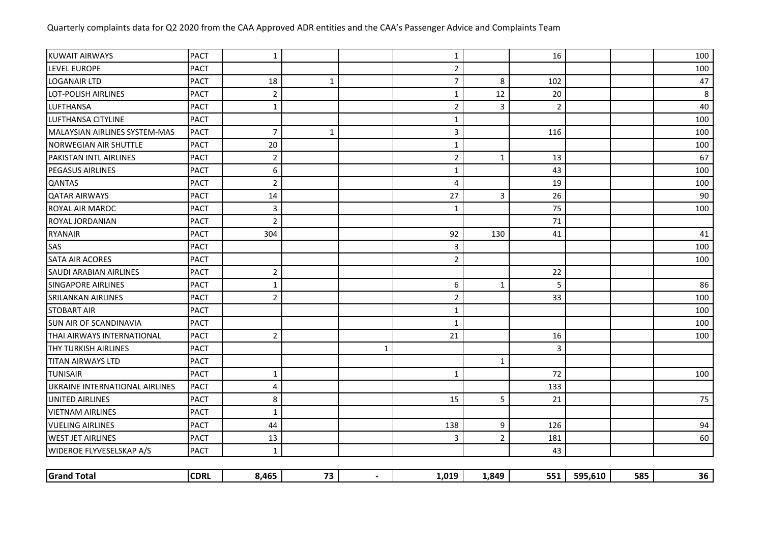| <b>KUWAIT AIRWAYS</b>          | <b>PACT</b> | $\mathbf{1}$   |              |             | $\mathbf{1}$   |              | 16             |         |     | 100 |
|--------------------------------|-------------|----------------|--------------|-------------|----------------|--------------|----------------|---------|-----|-----|
| <b>LEVEL EUROPE</b>            | <b>PACT</b> |                |              |             | $\overline{2}$ |              |                |         |     | 100 |
| <b>LOGANAIR LTD</b>            | <b>PACT</b> | 18             | $\mathbf{1}$ |             | $\overline{7}$ | 8            | 102            |         |     | 47  |
| <b>LOT-POLISH AIRLINES</b>     | <b>PACT</b> | $\overline{2}$ |              |             | $\mathbf{1}$   | 12           | 20             |         |     | 8   |
| LUFTHANSA                      | <b>PACT</b> | $\mathbf{1}$   |              |             | $\overline{2}$ | 3            | $\overline{2}$ |         |     | 40  |
| LUFTHANSA CITYLINE             | <b>PACT</b> |                |              |             | $\mathbf{1}$   |              |                |         |     | 100 |
| MALAYSIAN AIRLINES SYSTEM-MAS  | <b>PACT</b> | $\overline{7}$ | $\mathbf{1}$ |             | 3              |              | 116            |         |     | 100 |
| <b>NORWEGIAN AIR SHUTTLE</b>   | <b>PACT</b> | 20             |              |             | $\mathbf{1}$   |              |                |         |     | 100 |
| PAKISTAN INTL AIRLINES         | <b>PACT</b> | $\overline{2}$ |              |             | $\overline{2}$ | 1            | 13             |         |     | 67  |
| <b>PEGASUS AIRLINES</b>        | <b>PACT</b> | 6              |              |             | $\mathbf{1}$   |              | 43             |         |     | 100 |
| <b>QANTAS</b>                  | <b>PACT</b> | $\mathbf 2$    |              |             | $\overline{4}$ |              | 19             |         |     | 100 |
| <b>QATAR AIRWAYS</b>           | <b>PACT</b> | 14             |              |             | 27             | 3            | 26             |         |     | 90  |
| ROYAL AIR MAROC                | <b>PACT</b> | $\mathbf{3}$   |              |             | 1              |              | 75             |         |     | 100 |
| ROYAL JORDANIAN                | <b>PACT</b> | $\overline{2}$ |              |             |                |              | 71             |         |     |     |
| <b>RYANAIR</b>                 | <b>PACT</b> | 304            |              |             | 92             | 130          | 41             |         |     | 41  |
| SAS                            | <b>PACT</b> |                |              |             | 3              |              |                |         |     | 100 |
| <b>SATA AIR ACORES</b>         | <b>PACT</b> |                |              |             | 2              |              |                |         |     | 100 |
| <b>SAUDI ARABIAN AIRLINES</b>  | <b>PACT</b> | $\overline{2}$ |              |             |                |              | 22             |         |     |     |
| <b>SINGAPORE AIRLINES</b>      | <b>PACT</b> | $\mathbf{1}$   |              |             | 6              | $\mathbf{1}$ | 5              |         |     | 86  |
| <b>SRILANKAN AIRLINES</b>      | <b>PACT</b> | $\overline{2}$ |              |             | $\overline{2}$ |              | 33             |         |     | 100 |
| <b>STOBART AIR</b>             | <b>PACT</b> |                |              |             | $\mathbf{1}$   |              |                |         |     | 100 |
| <b>SUN AIR OF SCANDINAVIA</b>  | <b>PACT</b> |                |              |             | 1              |              |                |         |     | 100 |
| THAI AIRWAYS INTERNATIONAL     | <b>PACT</b> | $\overline{2}$ |              |             | 21             |              | 16             |         |     | 100 |
| <b>THY TURKISH AIRLINES</b>    | <b>PACT</b> |                |              | $\mathbf 1$ |                |              | $\overline{3}$ |         |     |     |
| <b>TITAN AIRWAYS LTD</b>       | <b>PACT</b> |                |              |             |                | $\mathbf{1}$ |                |         |     |     |
| <b>TUNISAIR</b>                | <b>PACT</b> | $\mathbf{1}$   |              |             | 1              |              | 72             |         |     | 100 |
| UKRAINE INTERNATIONAL AIRLINES | <b>PACT</b> | $\overline{4}$ |              |             |                |              | 133            |         |     |     |
| UNITED AIRLINES                | <b>PACT</b> | 8              |              |             | 15             | 5            | 21             |         |     | 75  |
| <b>VIETNAM AIRLINES</b>        | <b>PACT</b> | $\mathbf 1$    |              |             |                |              |                |         |     |     |
| <b>VUELING AIRLINES</b>        | <b>PACT</b> | 44             |              |             | 138            | 9            | 126            |         |     | 94  |
| <b>WEST JET AIRLINES</b>       | <b>PACT</b> | 13             |              |             | 3              | 2            | 181            |         |     | 60  |
| WIDEROE FLYVESELSKAP A/S       | <b>PACT</b> | $\mathbf{1}$   |              |             |                |              | 43             |         |     |     |
|                                |             |                |              |             |                |              |                |         |     |     |
| <b>Grand Total</b>             | <b>CDRL</b> | 8,465          | 73           |             | 1,019          | 1,849        | 551            | 595,610 | 585 | 36  |